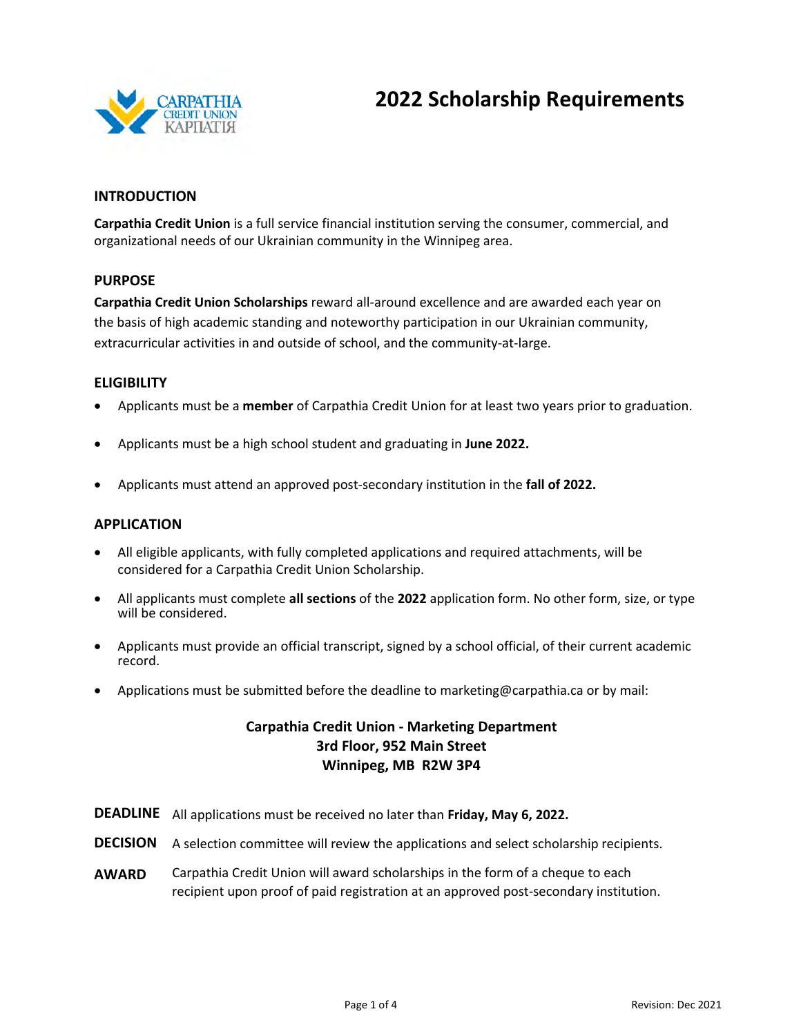

## **2022 Scholarship Requirements**

#### **INTRODUCTION**

**Carpathia Credit Union** is a full service financial institution serving the consumer, commercial, and organizational needs of our Ukrainian community in the Winnipeg area.

#### **PURPOSE**

**Carpathia Credit Union Scholarships** reward all-around excellence and are awarded each year on the basis of high academic standing and noteworthy participation in our Ukrainian community, extracurricular activities in and outside of school, and the community-at-large.

#### **ELIGIBILITY**

- Applicants must be a **member** of Carpathia Credit Union for at least two years prior to graduation.
- Applicants must be a high school student and graduating in **June 2022.**
- Applicants must attend an approved post-secondary institution in the **fall of 2022.**

#### **APPLICATION**

- All eligible applicants, with fully completed applications and required attachments, will be considered for a Carpathia Credit Union Scholarship.
- All applicants must complete **all sections** of the **2022** application form. No other form, size, or type will be considered.
- Applicants must provide an official transcript, signed by a school official, of their current academic record.
- Applications must be submitted before the deadline to marketing@carpathia.ca or by mail:

### **Carpathia Credit Union - Marketing Department 3rd Floor, 952 Main Street Winnipeg, MB R2W 3P4**

- **DEADLINE** All applications must be received no later than **Friday, May 6, 2022.**
- **DECISION** A selection committee will review the applications and select scholarship recipients.
- **AWARD** Carpathia Credit Union will award scholarships in the form of a cheque to each recipient upon proof of paid registration at an approved post-secondary institution.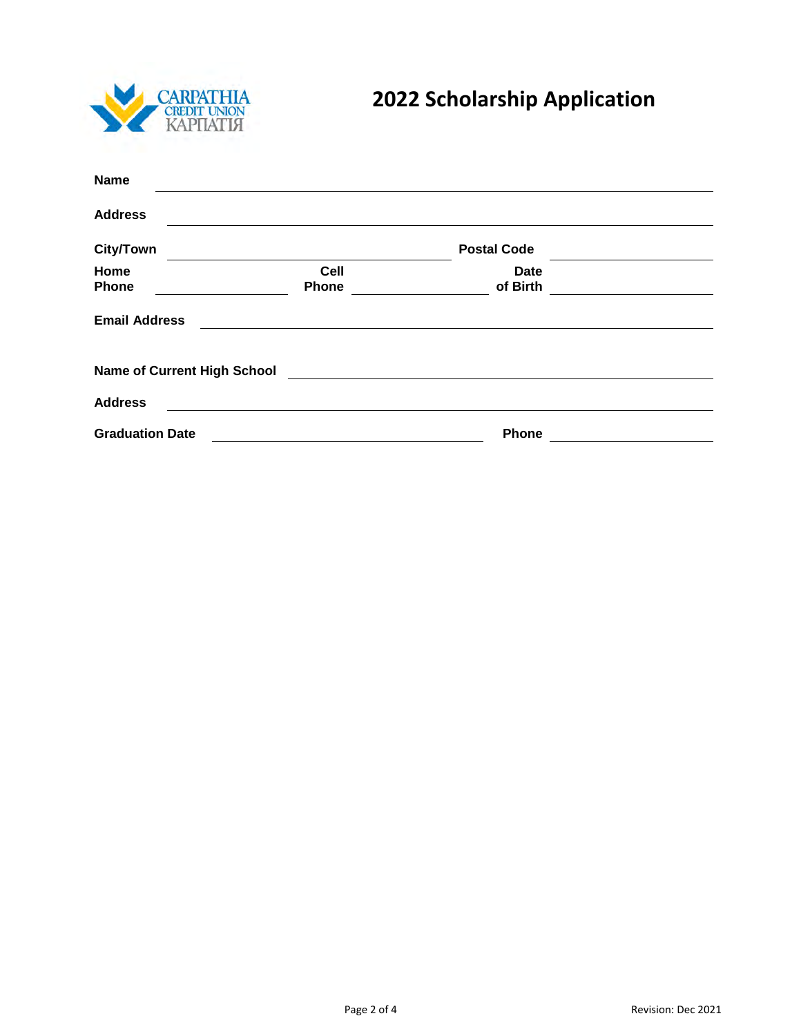

# **2022 Scholarship Application**

| <b>Name</b>                        |             |                    |  |
|------------------------------------|-------------|--------------------|--|
| <b>Address</b>                     |             |                    |  |
| <b>City/Town</b>                   |             | <b>Postal Code</b> |  |
| Home                               | <b>Cell</b> | <b>Date</b>        |  |
| <b>Phone</b>                       | Phone       | of Birth           |  |
| <b>Email Address</b>               |             |                    |  |
| <b>Name of Current High School</b> |             |                    |  |
| <b>Address</b>                     |             |                    |  |
| <b>Graduation Date</b>             |             | Phone              |  |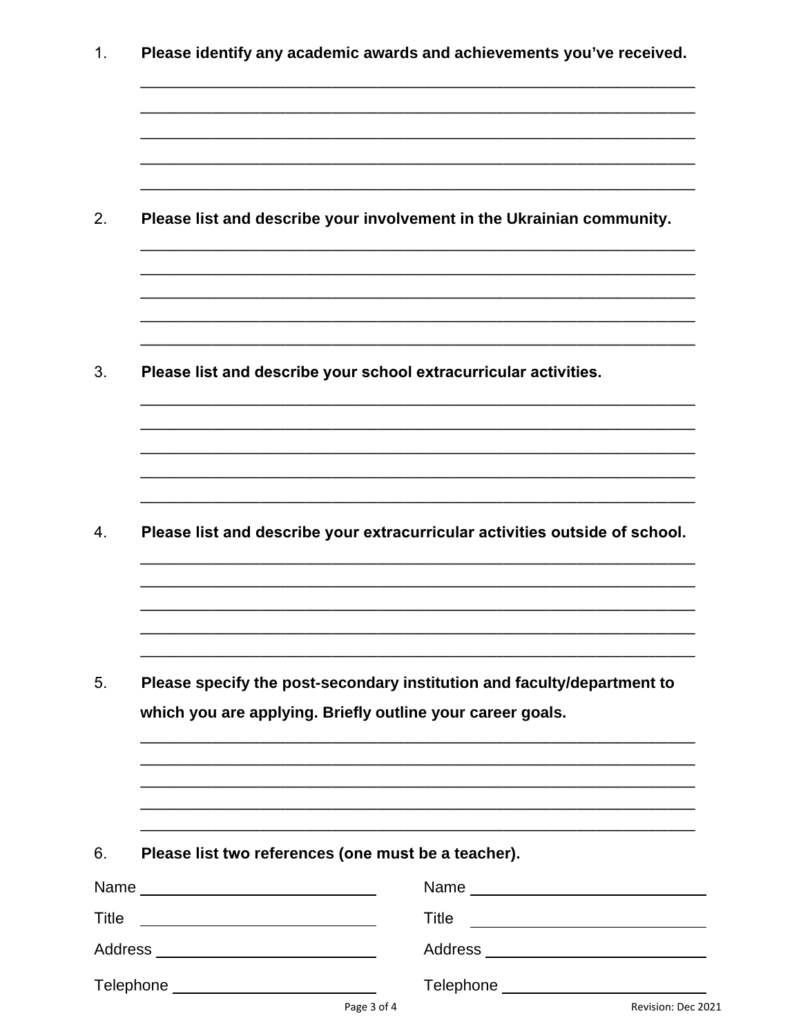|                                                         | Please identify any academic awards and achievements you've received.                                                                                                                    |
|---------------------------------------------------------|------------------------------------------------------------------------------------------------------------------------------------------------------------------------------------------|
|                                                         |                                                                                                                                                                                          |
|                                                         | Please list and describe your involvement in the Ukrainian community.                                                                                                                    |
|                                                         |                                                                                                                                                                                          |
|                                                         | Please list and describe your school extracurricular activities.                                                                                                                         |
|                                                         |                                                                                                                                                                                          |
|                                                         | Please list and describe your extracurricular activities outside of school.                                                                                                              |
|                                                         |                                                                                                                                                                                          |
|                                                         | Please specify the post-secondary institution and faculty/department to<br>which you are applying. Briefly outline your career goals.                                                    |
|                                                         |                                                                                                                                                                                          |
|                                                         |                                                                                                                                                                                          |
|                                                         |                                                                                                                                                                                          |
|                                                         | Please list two references (one must be a teacher).                                                                                                                                      |
|                                                         |                                                                                                                                                                                          |
| <u> 1989 - Johann Barbara, martin amerikan basal da</u> | Name Leader and the state of the state of the state of the state of the state of the state of the state of the<br>Title<br><u> 1989 - Andrea Stadt Britain, fransk politik (d. 1989)</u> |
|                                                         |                                                                                                                                                                                          |